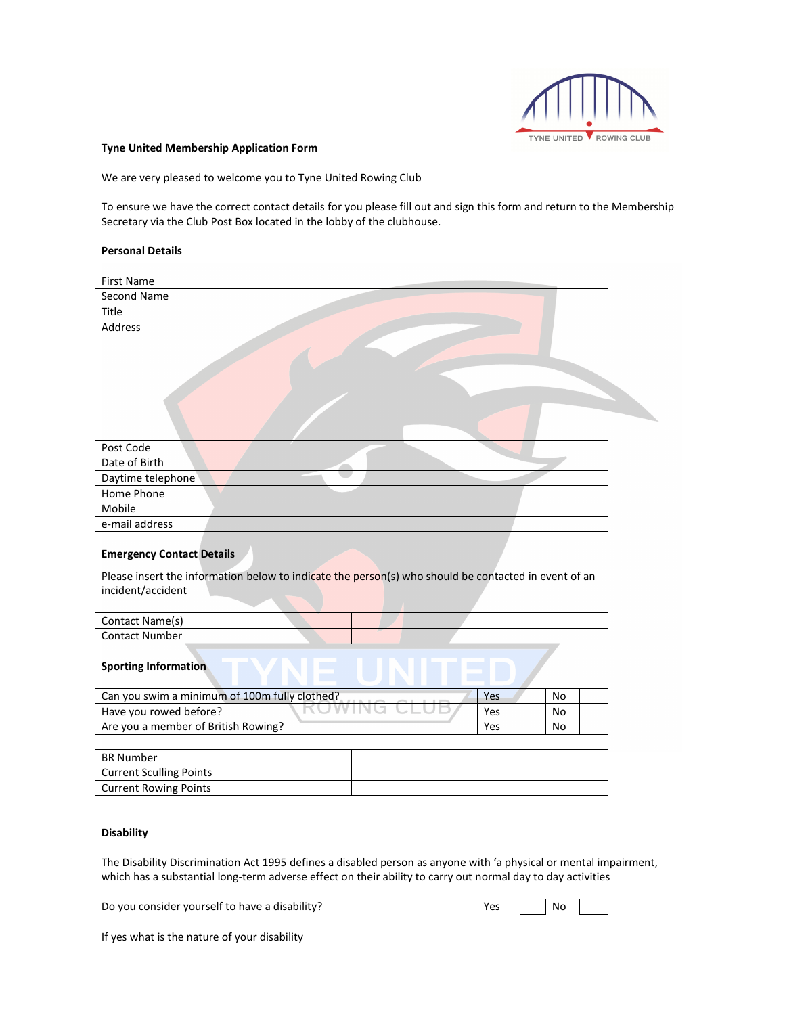

### **Tyne United Membership Application Form**

We are very pleased to welcome you to Tyne United Rowing Club

To ensure we have the correct contact details for you please fill out and sign this form and return to the Membership Secretary via the Club Post Box located in the lobby of the clubhouse.

#### **Personal Details**

| First Name        |  |
|-------------------|--|
| Second Name       |  |
| Title             |  |
| Address           |  |
|                   |  |
| Post Code         |  |
| Date of Birth     |  |
| Daytime telephone |  |
| Home Phone        |  |
| Mobile            |  |
| e-mail address    |  |

#### **Emergency Contact Details**

Please insert the information below to indicate the person(s) who should be contacted in event of an incident/accident

| Contact Name(s) |  |  |
|-----------------|--|--|
| Contact Number  |  |  |

#### **Sporting Information**

| Can you swim a minimum of 100m fully clothed? | Yes | No |  |
|-----------------------------------------------|-----|----|--|
| Have you rowed before?                        | Yes | No |  |
| Are you a member of British Rowing?           | Yes | No |  |

| <b>BR Number</b>               |  |
|--------------------------------|--|
| <b>Current Sculling Points</b> |  |
| <b>Current Rowing Points</b>   |  |

## **Disability**

The Disability Discrimination Act 1995 defines a disabled person as anyone with 'a physical or mental impairment, which has a substantial long-term adverse effect on their ability to carry out normal day to day activities

Do you consider yourself to have a disability?

| Yes |  | No |  |
|-----|--|----|--|
|-----|--|----|--|

If yes what is the nature of your disability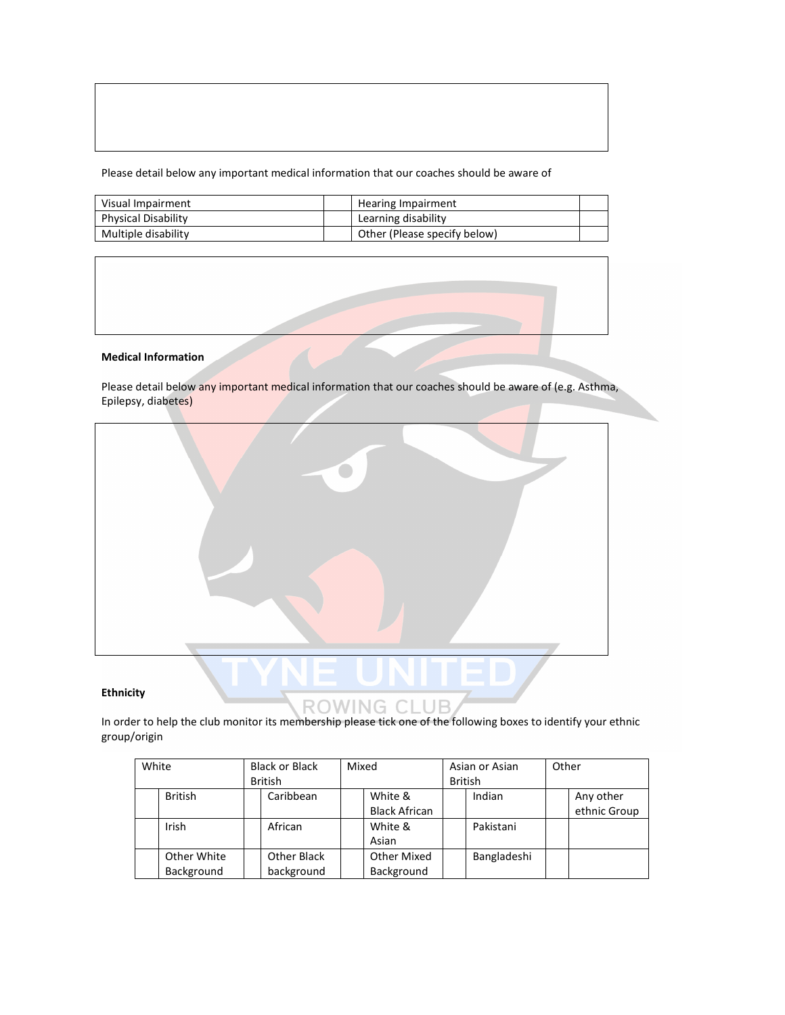Please detail below any important medical information that our coaches should be aware of

| Visual Impairment   | Hearing Impairment           |  |
|---------------------|------------------------------|--|
| Physical Disability | Learning disability          |  |
| Multiple disability | Other (Please specify below) |  |

### **Medical Information**

Please detail below any important medical information that our coaches should be aware of (e.g. Asthma, Epilepsy, diabetes)



In order to help the club monitor its membership please tick one of the following boxes to identify your ethnic group/origin

| White |                | <b>Black or Black</b><br>Mixed<br>Asian or Asian |  |                      |  |                |  | Other        |
|-------|----------------|--------------------------------------------------|--|----------------------|--|----------------|--|--------------|
|       |                | <b>British</b>                                   |  |                      |  | <b>British</b> |  |              |
|       | <b>British</b> | Caribbean                                        |  | White &              |  | Indian         |  | Any other    |
|       |                |                                                  |  | <b>Black African</b> |  |                |  | ethnic Group |
|       | Irish          | African                                          |  | White &              |  | Pakistani      |  |              |
|       |                |                                                  |  | Asian                |  |                |  |              |
|       | Other White    | Other Black                                      |  | <b>Other Mixed</b>   |  | Bangladeshi    |  |              |
|       | Background     | background                                       |  | Background           |  |                |  |              |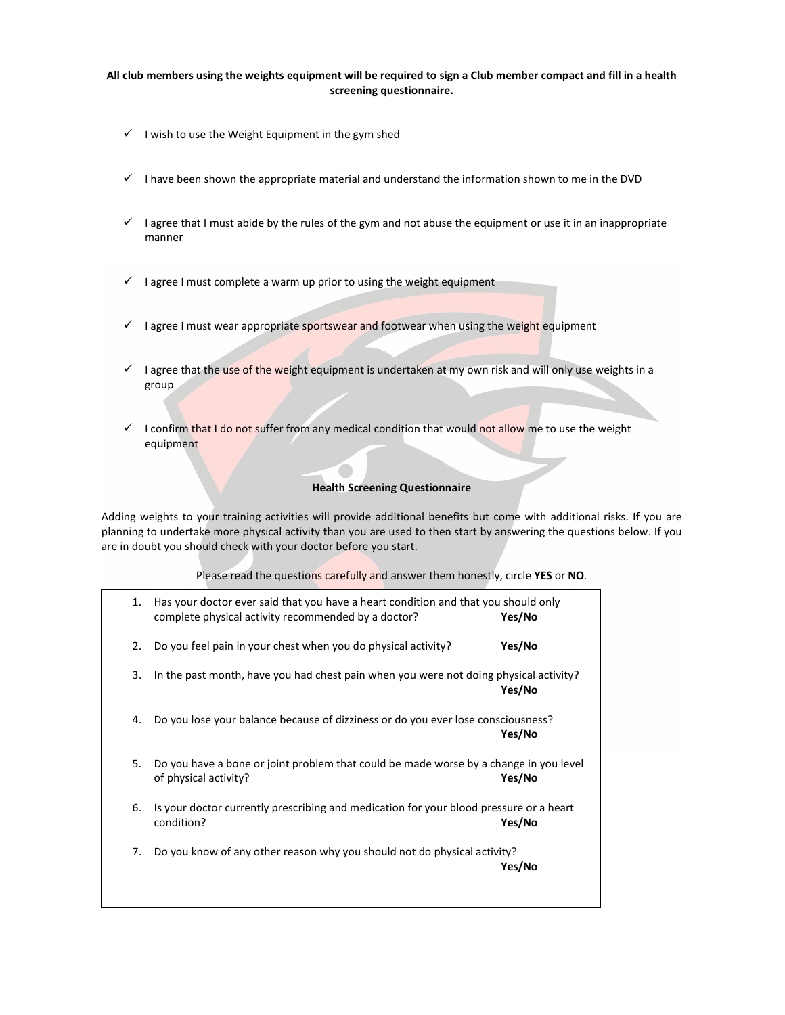## **All club members using the weights equipment will be required to sign a Club member compact and fill in a health screening questionnaire.**

- $\checkmark$  I wish to use the Weight Equipment in the gym shed
- I have been shown the appropriate material and understand the information shown to me in the DVD
- I agree that I must abide by the rules of the gym and not abuse the equipment or use it in an inappropriate manner
- $\checkmark$  I agree I must complete a warm up prior to using the weight equipment
- $\checkmark$  I agree I must wear appropriate sportswear and footwear when using the weight equipment
- I agree that the use of the weight equipment is undertaken at my own risk and will only use weights in a group
- $\checkmark$  I confirm that I do not suffer from any medical condition that would not allow me to use the weight equipment

### **Health Screening Questionnaire**

Adding weights to your training activities will provide additional benefits but come with additional risks. If you are planning to undertake more physical activity than you are used to then start by answering the questions below. If you are in doubt you should check with your doctor before you start.

## Please read the questions carefully and answer them honestly, circle **YES** or **NO**.

| 1. | Has your doctor ever said that you have a heart condition and that you should only<br>complete physical activity recommended by a doctor? | Yes/No |
|----|-------------------------------------------------------------------------------------------------------------------------------------------|--------|
| 2. | Do you feel pain in your chest when you do physical activity?                                                                             | Yes/No |
| 3. | In the past month, have you had chest pain when you were not doing physical activity?                                                     | Yes/No |
| 4. | Do you lose your balance because of dizziness or do you ever lose consciousness?                                                          | Yes/No |
| 5. | Do you have a bone or joint problem that could be made worse by a change in you level<br>of physical activity?                            | Yes/No |
| 6. | Is your doctor currently prescribing and medication for your blood pressure or a heart<br>condition?                                      | Yes/No |
| 7. | Do you know of any other reason why you should not do physical activity?                                                                  | Yes/No |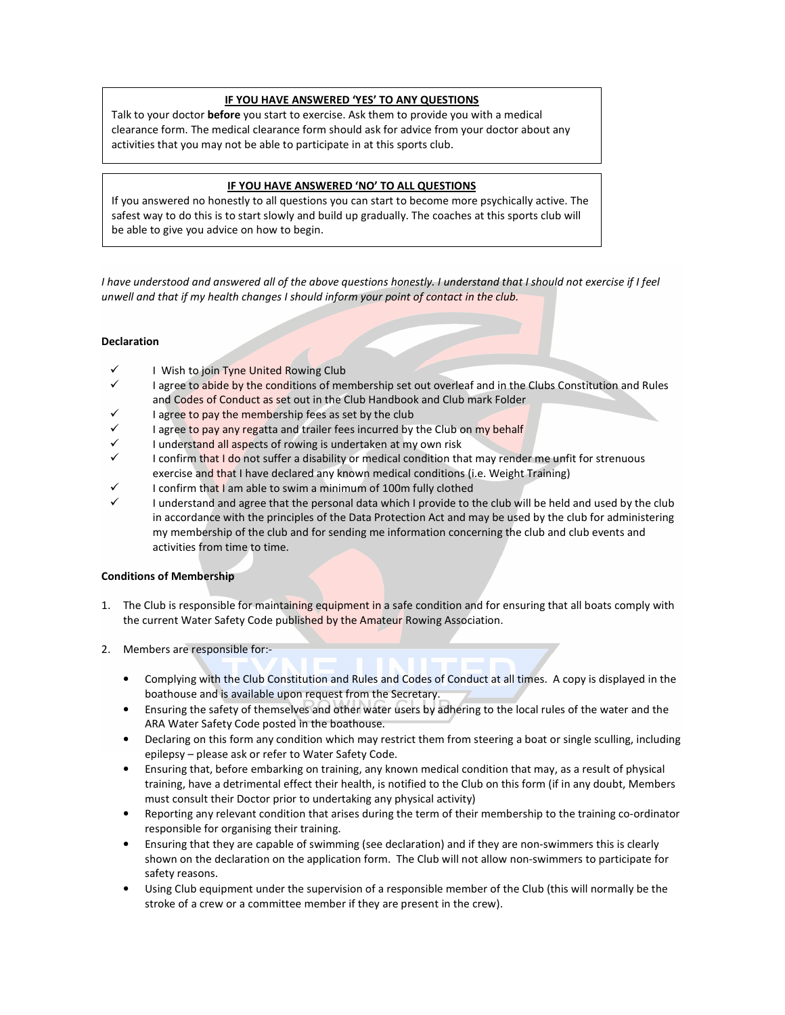## **IF YOU HAVE ANSWERED 'YES' TO ANY QUESTIONS**

Talk to your doctor **before** you start to exercise. Ask them to provide you with a medical clearance form. The medical clearance form should ask for advice from your doctor about any activities that you may not be able to participate in at this sports club.

# **IF YOU HAVE ANSWERED 'NO' TO ALL QUESTIONS**

If you answered no honestly to all questions you can start to become more psychically active. The safest way to do this is to start slowly and build up gradually. The coaches at this sports club will be able to give you advice on how to begin.

*I have understood and answered all of the above questions honestly. I understand that I should not exercise if I feel unwell and that if my health changes I should inform your point of contact in the club.*

# **Declaration**

- I Wish to join Tyne United Rowing Club
- I agree to abide by the conditions of membership set out overleaf and in the Clubs Constitution and Rules and Codes of Conduct as set out in the Club Handbook and Club mark Folder
- I agree to pay the membership fees as set by the club
- I agree to pay any regatta and trailer fees incurred by the Club on my behalf
- I understand all aspects of rowing is undertaken at my own risk
- I confirm that I do not suffer a disability or medical condition that may render me unfit for strenuous exercise and that I have declared any known medical conditions (i.e. Weight Training)
- I confirm that I am able to swim a minimum of 100m fully clothed
- I understand and agree that the personal data which I provide to the club will be held and used by the club in accordance with the principles of the Data Protection Act and may be used by the club for administering my membership of the club and for sending me information concerning the club and club events and activities from time to time.

## **Conditions of Membership**

- 1. The Club is responsible for maintaining equipment in a safe condition and for ensuring that all boats comply with the current Water Safety Code published by the Amateur Rowing Association.
- 2. Members are responsible for:-
	- Complying with the Club Constitution and Rules and Codes of Conduct at all times. A copy is displayed in the boathouse and is available upon request from the Secretary.
	- Ensuring the safety of themselves and other water users by adhering to the local rules of the water and the ARA Water Safety Code posted in the boathouse.
	- Declaring on this form any condition which may restrict them from steering a boat or single sculling, including epilepsy – please ask or refer to Water Safety Code.
	- Ensuring that, before embarking on training, any known medical condition that may, as a result of physical training, have a detrimental effect their health, is notified to the Club on this form (if in any doubt, Members must consult their Doctor prior to undertaking any physical activity)
	- Reporting any relevant condition that arises during the term of their membership to the training co-ordinator responsible for organising their training.
	- Ensuring that they are capable of swimming (see declaration) and if they are non-swimmers this is clearly shown on the declaration on the application form. The Club will not allow non-swimmers to participate for safety reasons.
	- Using Club equipment under the supervision of a responsible member of the Club (this will normally be the stroke of a crew or a committee member if they are present in the crew).